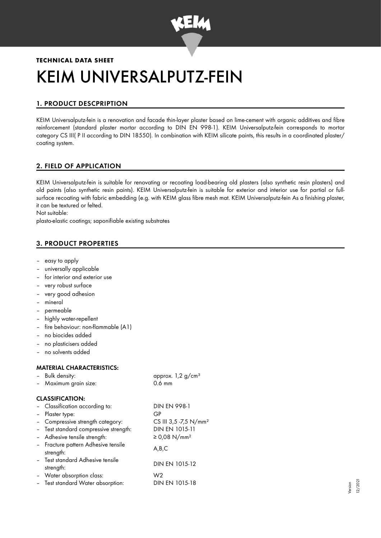

# **TECHNICAL DATA SHEET** KEIM UNIVERSALPUTZ-FEIN

# 1. PRODUCT DESCPRIPTION

KEIM Universalputz-fein is a renovation and facade thin-layer plaster based on lime-cement with organic additives and fibre reinforcement (standard plaster mortar according to DIN EN 998-1). KEIM Universalputz-fein corresponds to mortar category CS III( P II according to DIN 18550). In combination with KEIM silicate paints, this results in a coordinated plaster/ coating system.

# 2. FIELD OF APPLICATION

KEIM Universalputz-fein is suitable for renovating or recoating load-bearing old plasters (also synthetic resin plasters) and old paints (also synthetic resin paints). KEIM Universalputz-fein is suitable for exterior and interior use for partial or fullsurface recoating with fabric embedding (e.g. with KEIM glass fibre mesh mat. KEIM Universalputz-fein As a finishing plaster, it can be textured or felted.

Not suitable:

plasto-elastic coatings; saponifiable existing substrates

# 3. PRODUCT PROPERTIES

- easy to apply
- universally applicable
- for interior and exterior use
- very robust surface
- very good adhesion
- mineral
- permeable
- highly water-repellent
- fire behaviour: non-flammable (A1)
- no biocides added
- no plasticisers added
- no solvents added

# MATERIAL CHARACTERISTICS:

– Bulk density: approx. 1,2 g/cm<sup>3</sup>

| Maximum grain size: |  |
|---------------------|--|
|---------------------|--|

# CLASSIFICATION:

| - Classification according to:                   | <b>DIN EN 998-1</b>               |
|--------------------------------------------------|-----------------------------------|
| - Plaster type:                                  | GP                                |
| - Compressive strength category:                 | CS III 3,5 -7,5 N/mm <sup>2</sup> |
| - Test standard compressive strength:            | DIN EN 1015-11                    |
| - Adhesive tensile strength:                     | ≥ 0,08 N/mm <sup>2</sup>          |
| - Fracture pattern Adhesive tensile<br>strength: | A,B,C                             |
| - Test standard Adhesive tensile<br>strength:    | DIN EN 1015-12                    |
| - Water absorption class:                        | W2                                |
| - Test standard Water absorption:                | DIN EN 1015-18                    |
|                                                  |                                   |

 $0.6$  mm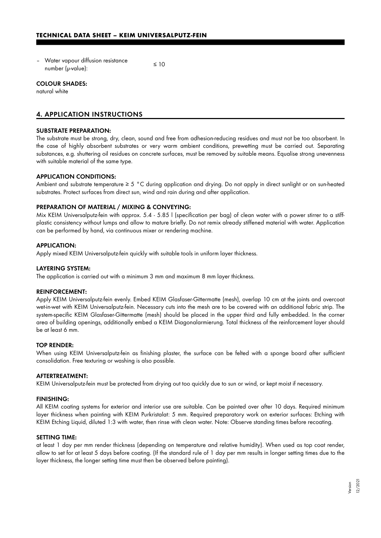– Water vapour diffusion resistance  $\frac{1}{2}$  number ( $\mu$ -value):  $\leq 10$ 

## COLOUR SHADES:

natural white

# 4. APPLICATION INSTRUCTIONS

## SUBSTRATE PREPARATION:

The substrate must be strong, dry, clean, sound and free from adhesion-reducing residues and must not be too absorbent. In the case of highly absorbent substrates or very warm ambient conditions, prewetting must be carried out. Separating substances, e.g. shuttering oil residues on concrete surfaces, must be removed by suitable means. Equalise strong unevenness with suitable material of the same type.

## APPLICATION CONDITIONS:

Ambient and substrate temperature ≥ 5 °C during application and drying. Do not apply in direct sunlight or on sun-heated substrates. Protect surfaces from direct sun, wind and rain during and after application.

## PREPARATION OF MATERIAL / MIXING & CONVEYING:

Mix KEIM Universalputz-fein with approx. 5.4 - 5.85 l (specification per bag) of clean water with a power stirrer to a stiffplastic consistency without lumps and allow to mature briefly. Do not remix already stiffened material with water. Application can be performed by hand, via continuous mixer or rendering machine.

#### APPLICATION:

Apply mixed KEIM Universalputz-fein quickly with suitable tools in uniform layer thickness.

#### LAYERING SYSTEM:

The application is carried out with a minimum 3 mm and maximum 8 mm layer thickness.

## REINFORCEMENT:

Apply KEIM Universalputz-fein evenly. Embed KEIM Glasfaser-Gittermatte (mesh), overlap 10 cm at the joints and overcoat wet-in-wet with KEIM Universalputz-fein. Necessary cuts into the mesh are to be covered with an additional fabric strip. The system-specific KEIM Glasfaser-Gittermatte (mesh) should be placed in the upper third and fully embedded. In the corner area of building openings, additionally embed a KEIM Diagonalarmierung. Total thickness of the reinforcement layer should be at least 6 mm.

### TOP RENDER:

When using KEIM Universalputz-fein as finishing plaster, the surface can be felted with a sponge board after sufficient consolidation. Free texturing or washing is also possible.

#### AFTERTREATMENT:

KEIM Universalputz-fein must be protected from drying out too quickly due to sun or wind, or kept moist if necessary.

#### FINISHING:

All KEIM coating systems for exterior and interior use are suitable. Can be painted over after 10 days. Required minimum layer thickness when painting with KEIM Purkristalat: 5 mm. Required preparatory work on exterior surfaces: Etching with KEIM Etching Liquid, diluted 1:3 with water, then rinse with clean water. Note: Observe standing times before recoating.

#### SETTING TIME:

at least 1 day per mm render thickness (depending on temperature and relative humidity). When used as top coat render, allow to set for at least 5 days before coating. (If the standard rule of 1 day per mm results in longer setting times due to the layer thickness, the longer setting time must then be observed before painting).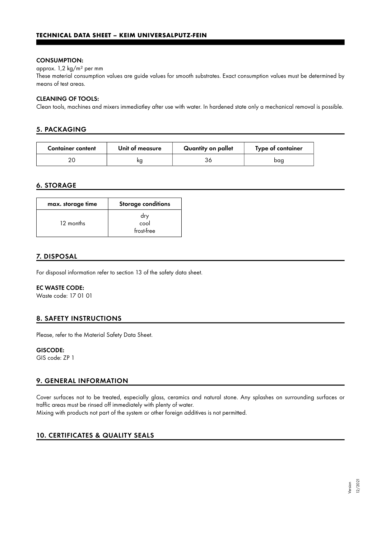## CONSUMPTION:

approx. 1,2 kg/m² per mm

These material consumption values are guide values for smooth substrates. Exact consumption values must be determined by means of test areas.

## CLEANING OF TOOLS:

Clean tools, machines and mixers immediatley after use with water. In hardened state only a mechanical removal is possible.

# 5. PACKAGING

| <b>Container content</b> | Unit of measure | Quantity on pallet | Type of container |
|--------------------------|-----------------|--------------------|-------------------|
|                          | ĸс              |                    | bag               |

# 6. STORAGE

| max. storage time | <b>Storage conditions</b> |
|-------------------|---------------------------|
| 12 months         | dry<br>cool<br>frost-free |

# 7. DISPOSAL

For disposal information refer to section 13 of the safety data sheet.

## EC WASTE CODE:

Waste code: 17 01 01

# 8. SAFETY INSTRUCTIONS

Please, refer to the Material Safety Data Sheet.

## GISCODE:

GIS code: ZP 1

# 9. GENERAL INFORMATION

Cover surfaces not to be treated, especially glass, ceramics and natural stone. Any splashes on surrounding surfaces or traffic areas must be rinsed off immediately with plenty of water.

Mixing with products not part of the system or other foreign additives is not permitted.

# 10. CERTIFICATES & QUALITY SEALS